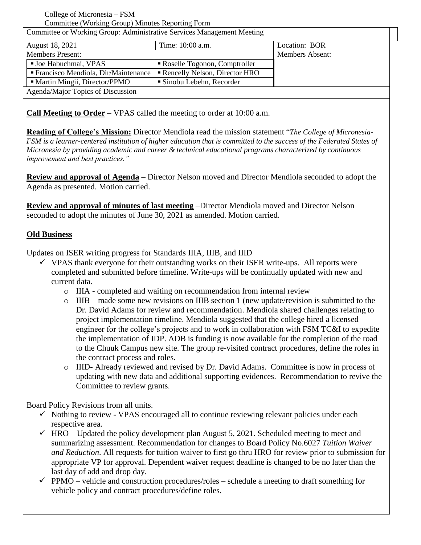#### College of Micronesia – FSM Committee (Working Group) Minutes Reporting Form

| Committee or Working Group: Administrative Services Management Meeting |                               |                 |
|------------------------------------------------------------------------|-------------------------------|-----------------|
| August 18, 2021                                                        | Time: 10:00 a.m.              | Location: BOR   |
| <b>Members Present:</b>                                                |                               | Members Absent: |
| ■ Joe Habuchmai, VPAS                                                  | Roselle Togonon, Comptroller  |                 |
| " Francisco Mendiola, Dir/Maintenance                                  | Rencelly Nelson, Director HRO |                 |
| • Martin Mingii, Director/PPMO                                         | • Sinobu Lebehn, Recorder     |                 |
| Agenda/Major Topics of Discussion                                      |                               |                 |

**Call Meeting to Order** – VPAS called the meeting to order at 10:00 a.m.

**Reading of College's Mission:** Director Mendiola read the mission statement "*The College of Micronesia-FSM is a learner-centered institution of higher education that is committed to the success of the Federated States of Micronesia by providing academic and career & technical educational programs characterized by continuous improvement and best practices."*

**Review and approval of Agenda** – Director Nelson moved and Director Mendiola seconded to adopt the Agenda as presented. Motion carried.

**Review and approval of minutes of last meeting** –Director Mendiola moved and Director Nelson seconded to adopt the minutes of June 30, 2021 as amended. Motion carried.

# **Old Business**

Updates on ISER writing progress for Standards IIIA, IIIB, and IIID

- $\checkmark$  VPAS thank everyone for their outstanding works on their ISER write-ups. All reports were completed and submitted before timeline. Write-ups will be continually updated with new and current data.
	- o IIIA completed and waiting on recommendation from internal review
	- $\circ$  IIIB made some new revisions on IIIB section 1 (new update/revision is submitted to the Dr. David Adams for review and recommendation. Mendiola shared challenges relating to project implementation timeline. Mendiola suggested that the college hired a licensed engineer for the college's projects and to work in collaboration with FSM TC&I to expedite the implementation of IDP. ADB is funding is now available for the completion of the road to the Chuuk Campus new site. The group re-visited contract procedures, define the roles in the contract process and roles.
	- o IIID- Already reviewed and revised by Dr. David Adams. Committee is now in process of updating with new data and additional supporting evidences. Recommendation to revive the Committee to review grants.

Board Policy Revisions from all units.

- $\checkmark$  Nothing to review VPAS encouraged all to continue reviewing relevant policies under each respective area.
- $\checkmark$  HRO Updated the policy development plan August 5, 2021. Scheduled meeting to meet and summarizing assessment. Recommendation for changes to Board Policy No.6027 *Tuition Waiver and Reduction*. All requests for tuition waiver to first go thru HRO for review prior to submission for appropriate VP for approval. Dependent waiver request deadline is changed to be no later than the last day of add and drop day.
- $\checkmark$  PPMO vehicle and construction procedures/roles schedule a meeting to draft something for vehicle policy and contract procedures/define roles.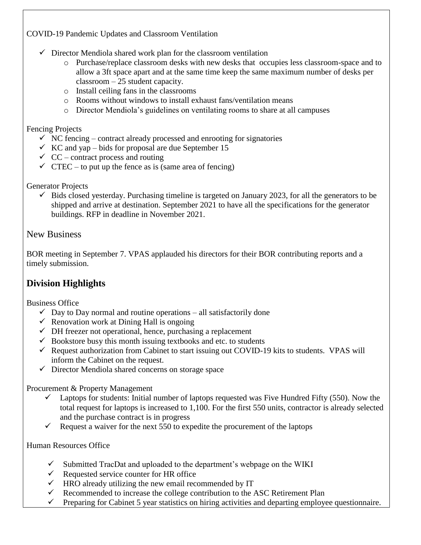COVID-19 Pandemic Updates and Classroom Ventilation

- $\checkmark$  Director Mendiola shared work plan for the classroom ventilation
	- o Purchase/replace classroom desks with new desks that occupies less classroom-space and to allow a 3ft space apart and at the same time keep the same maximum number of desks per classroom – 25 student capacity.
	- o Install ceiling fans in the classrooms
	- o Rooms without windows to install exhaust fans/ventilation means
	- o Director Mendiola's guidelines on ventilating rooms to share at all campuses

# Fencing Projects

- $\checkmark$  NC fencing contract already processed and enrooting for signatories
- $\checkmark$  KC and yap bids for proposal are due September 15
- $\checkmark$  CC contract process and routing
- $\checkmark$  CTEC to put up the fence as is (same area of fencing)

Generator Projects

 $\checkmark$  Bids closed yesterday. Purchasing timeline is targeted on January 2023, for all the generators to be shipped and arrive at destination. September 2021 to have all the specifications for the generator buildings. RFP in deadline in November 2021.

New Business

BOR meeting in September 7. VPAS applauded his directors for their BOR contributing reports and a timely submission.

# **Division Highlights**

Business Office

- $\checkmark$  Day to Day normal and routine operations all satisfactorily done
- Renovation work at Dining Hall is ongoing
- $\checkmark$  DH freezer not operational, hence, purchasing a replacement
- $\checkmark$  Bookstore busy this month issuing textbooks and etc. to students
- $\checkmark$  Request authorization from Cabinet to start issuing out COVID-19 kits to students. VPAS will inform the Cabinet on the request.
- $\checkmark$  Director Mendiola shared concerns on storage space

Procurement & Property Management

- $\checkmark$  Laptops for students: Initial number of laptops requested was Five Hundred Fifty (550). Now the total request for laptops is increased to 1,100. For the first 550 units, contractor is already selected and the purchase contract is in progress
- Request a waiver for the next 550 to expedite the procurement of the laptops

Human Resources Office

- $\checkmark$  Submitted TracDat and uploaded to the department's webpage on the WIKI
- $\checkmark$  Requested service counter for HR office
- $\checkmark$  HRO already utilizing the new email recommended by IT
- Recommended to increase the college contribution to the ASC Retirement Plan
- $\checkmark$  Preparing for Cabinet 5 year statistics on hiring activities and departing employee questionnaire.